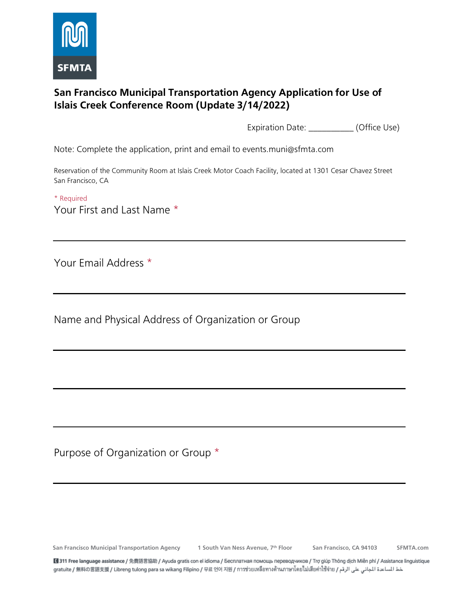

#### **San Francisco Municipal Transportation Agency Application for Use of Islais Creek Conference Room (Update 3/14/2022)**

Expiration Date: \_\_\_\_\_\_\_\_\_\_ (Office Use)

Note: Complete the application, print and email to events.muni@sfmta.com

Reservation of the Community Room at Islais Creek Motor Coach Facility, located at 1301 Cesar Chavez Street San Francisco, CA

\* Required

Your First and Last Name \*

Your Email Address \*

Name and Physical Address of Organization or Group

Purpose of Organization or Group \*

**San Francisco Municipal Transportation Agency 1 South Van Ness Avenue, 7th Floor San Francisco, CA 94103 SFMTA.com**

■ 311 Free language assistance / 免費語言協助 / Ayuda gratis con el idioma / Бесплатная помощь переводчиков / Trợ giúp Thông dịch Miễn phí / Assistance linguistique خط المساعدة الجاني على الرقم / gratuite / 無料の言語支援 / Libreng tulong para sa wikang Filipino / 무료 언어 지원 / การช่วยเหลือทางด้านภาษาโดยไม่เสียค่าใช้จ่าย / عط المساعدة الجاني على الرقم / gratuite /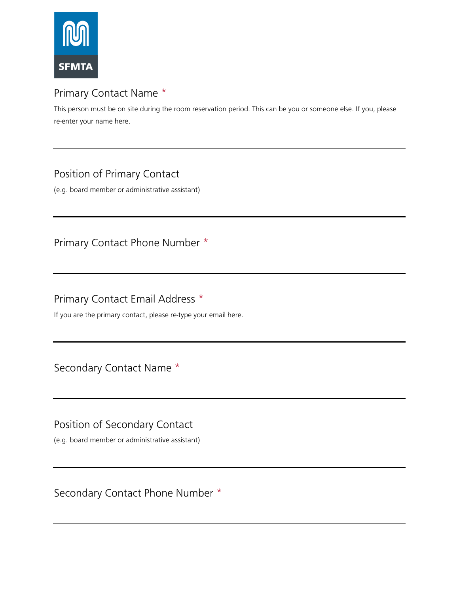

#### Primary Contact Name \*

This person must be on site during the room reservation period. This can be you or someone else. If you, please re-enter your name here.

### Position of Primary Contact

(e.g. board member or administrative assistant)

Primary Contact Phone Number \*

Primary Contact Email Address \*

If you are the primary contact, please re-type your email here.

Secondary Contact Name \*

Position of Secondary Contact

(e.g. board member or administrative assistant)

Secondary Contact Phone Number \*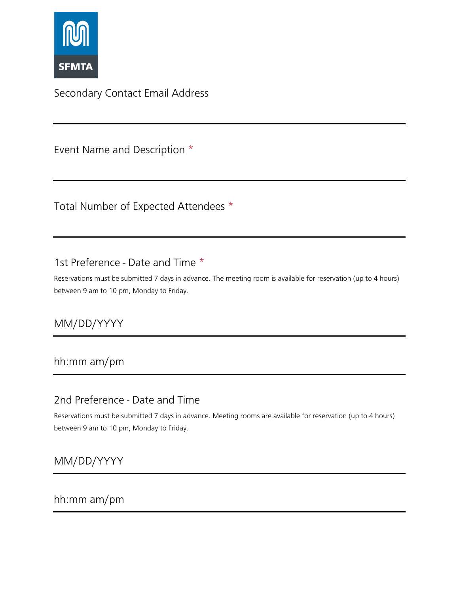

Secondary Contact Email Address

Event Name and Description \*

Total Number of Expected Attendees \*

1st Preference - Date and Time \*

Reservations must be submitted 7 days in advance. The meeting room is available for reservation (up to 4 hours) between 9 am to 10 pm, Monday to Friday.

MM/DD/YYYY

hh:mm am/pm

2nd Preference - Date and Time

Reservations must be submitted 7 days in advance. Meeting rooms are available for reservation (up to 4 hours) between 9 am to 10 pm, Monday to Friday.

MM/DD/YYYY

hh:mm am/pm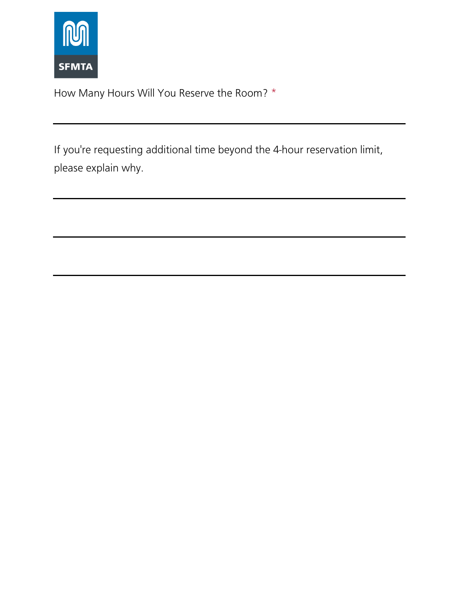

How Many Hours Will You Reserve the Room? \*

If you're requesting additional time beyond the 4-hour reservation limit, please explain why.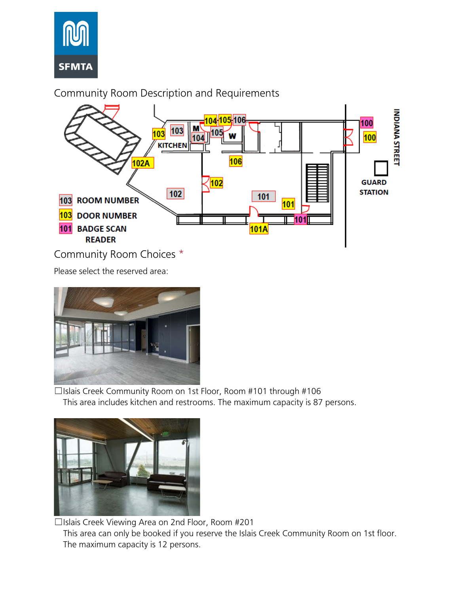

Community Room Description and Requirements



Please select the reserved area:



☐Islais Creek Community Room on 1st Floor, Room #101 through #106 This area includes kitchen and restrooms. The maximum capacity is 87 persons.



☐Islais Creek Viewing Area on 2nd Floor, Room #201 This area can only be booked if you reserve the Islais Creek Community Room on 1st floor. The maximum capacity is 12 persons.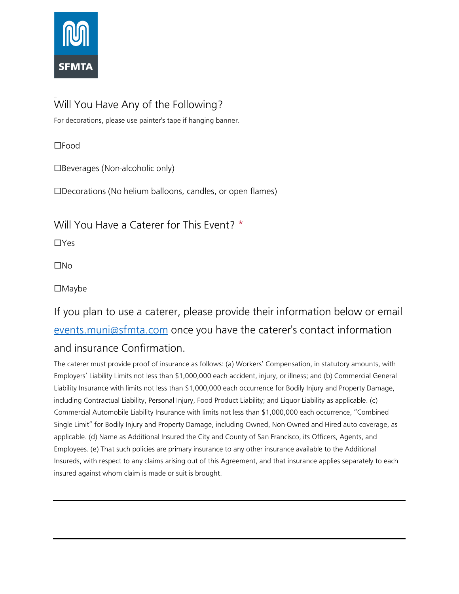

Will You Have Any of the Following?

For decorations, please use painter's tape if hanging banner.

☐Food

☐Beverages (Non-alcoholic only)

☐Decorations (No helium balloons, candles, or open flames)

Will You Have a Caterer for This Event? \*

☐Yes

☐No

☐Maybe

If you plan to use a caterer, please provide their information below or email [events.muni@sfmta.com](mailto:events.muni@sfmta.com) once you have the caterer's contact information and insurance Confirmation.

The caterer must provide proof of insurance as follows: (a) Workers' Compensation, in statutory amounts, with Employers' Liability Limits not less than \$1,000,000 each accident, injury, or illness; and (b) Commercial General Liability Insurance with limits not less than \$1,000,000 each occurrence for Bodily Injury and Property Damage, including Contractual Liability, Personal Injury, Food Product Liability; and Liquor Liability as applicable. (c) Commercial Automobile Liability Insurance with limits not less than \$1,000,000 each occurrence, "Combined Single Limit" for Bodily Injury and Property Damage, including Owned, Non-Owned and Hired auto coverage, as applicable. (d) Name as Additional Insured the City and County of San Francisco, its Officers, Agents, and Employees. (e) That such policies are primary insurance to any other insurance available to the Additional Insureds, with respect to any claims arising out of this Agreement, and that insurance applies separately to each insured against whom claim is made or suit is brought.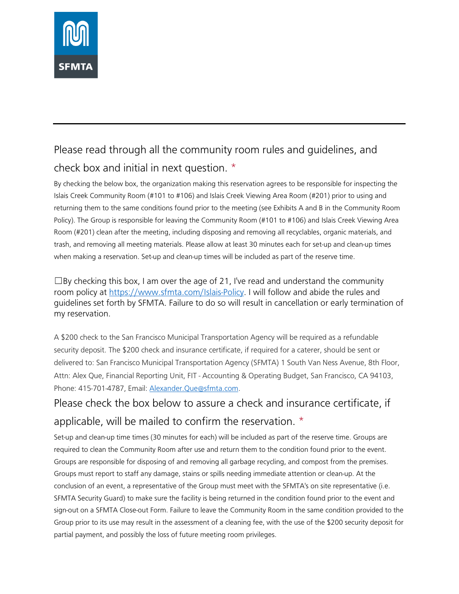

# Please read through all the community room rules and guidelines, and check box and initial in next question. \*

By checking the below box, the organization making this reservation agrees to be responsible for inspecting the Islais Creek Community Room (#101 to #106) and Islais Creek Viewing Area Room (#201) prior to using and returning them to the same conditions found prior to the meeting (see Exhibits A and B in the Community Room Policy). The Group is responsible for leaving the Community Room (#101 to #106) and Islais Creek Viewing Area Room (#201) clean after the meeting, including disposing and removing all recyclables, organic materials, and trash, and removing all meeting materials. Please allow at least 30 minutes each for set-up and clean-up times when making a reservation. Set-up and clean-up times will be included as part of the reserve time.

 $\Box$ By checking this box, I am over the age of 21, I've read and understand the community room policy at [https://www.sfmta.com/Islais-Policy.](https://www.google.com/url?q=https://www.sfmta.com/Islais-Policy&sa=D&ust=1550282905818000&usg=AFQjCNFP_TwafE2drGmpx8hOZiqyouZKfQ) I will follow and abide the rules and guidelines set forth by SFMTA. Failure to do so will result in cancellation or early termination of my reservation.

A \$200 check to the San Francisco Municipal Transportation Agency will be required as a refundable security deposit. The \$200 check and insurance certificate, if required for a caterer, should be sent or delivered to: San Francisco Municipal Transportation Agency (SFMTA) 1 South Van Ness Avenue, 8th Floor, Attn: Alex Que, Financial Reporting Unit, FIT - Accounting & Operating Budget, San Francisco, CA 94103, Phone: 415-701-4787, Email: [Alexander.Que@sfmta.com.](mailto:Alexander.Que@sfmta.com)

## Please check the box below to assure a check and insurance certificate, if applicable, will be mailed to confirm the reservation. \*

Set-up and clean-up time times (30 minutes for each) will be included as part of the reserve time. Groups are required to clean the Community Room after use and return them to the condition found prior to the event. Groups are responsible for disposing of and removing all garbage recycling, and compost from the premises. Groups must report to staff any damage, stains or spills needing immediate attention or clean-up. At the conclusion of an event, a representative of the Group must meet with the SFMTA's on site representative (i.e. SFMTA Security Guard) to make sure the facility is being returned in the condition found prior to the event and sign-out on a SFMTA Close-out Form. Failure to leave the Community Room in the same condition provided to the Group prior to its use may result in the assessment of a cleaning fee, with the use of the \$200 security deposit for partial payment, and possibly the loss of future meeting room privileges.